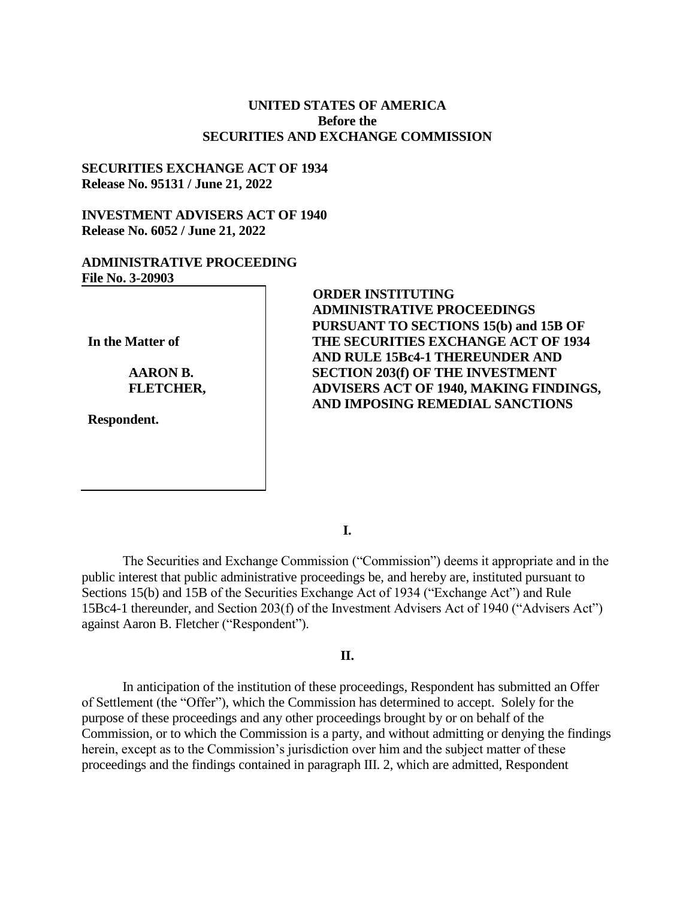## **UNITED STATES OF AMERICA Before the SECURITIES AND EXCHANGE COMMISSION**

## **SECURITIES EXCHANGE ACT OF 1934 Release No. 95131 / June 21, 2022**

## **INVESTMENT ADVISERS ACT OF 1940 Release No. 6052 / June 21, 2022**

## **ADMINISTRATIVE PROCEEDING File No. 3-20903**

**In the Matter of**

**AARON B. FLETCHER,** 

**Respondent.**

## **ORDER INSTITUTING ADMINISTRATIVE PROCEEDINGS PURSUANT TO SECTIONS 15(b) and 15B OF THE SECURITIES EXCHANGE ACT OF 1934 AND RULE 15Bc4-1 THEREUNDER AND SECTION 203(f) OF THE INVESTMENT ADVISERS ACT OF 1940, MAKING FINDINGS, AND IMPOSING REMEDIAL SANCTIONS**

**I.**

The Securities and Exchange Commission ("Commission") deems it appropriate and in the public interest that public administrative proceedings be, and hereby are, instituted pursuant to Sections 15(b) and 15B of the Securities Exchange Act of 1934 ("Exchange Act") and Rule 15Bc4-1 thereunder, and Section 203(f) of the Investment Advisers Act of 1940 ("Advisers Act") against Aaron B. Fletcher ("Respondent").

# **II.**

In anticipation of the institution of these proceedings, Respondent has submitted an Offer of Settlement (the "Offer"), which the Commission has determined to accept. Solely for the purpose of these proceedings and any other proceedings brought by or on behalf of the Commission, or to which the Commission is a party, and without admitting or denying the findings herein, except as to the Commission's jurisdiction over him and the subject matter of these proceedings and the findings contained in paragraph III. 2, which are admitted, Respondent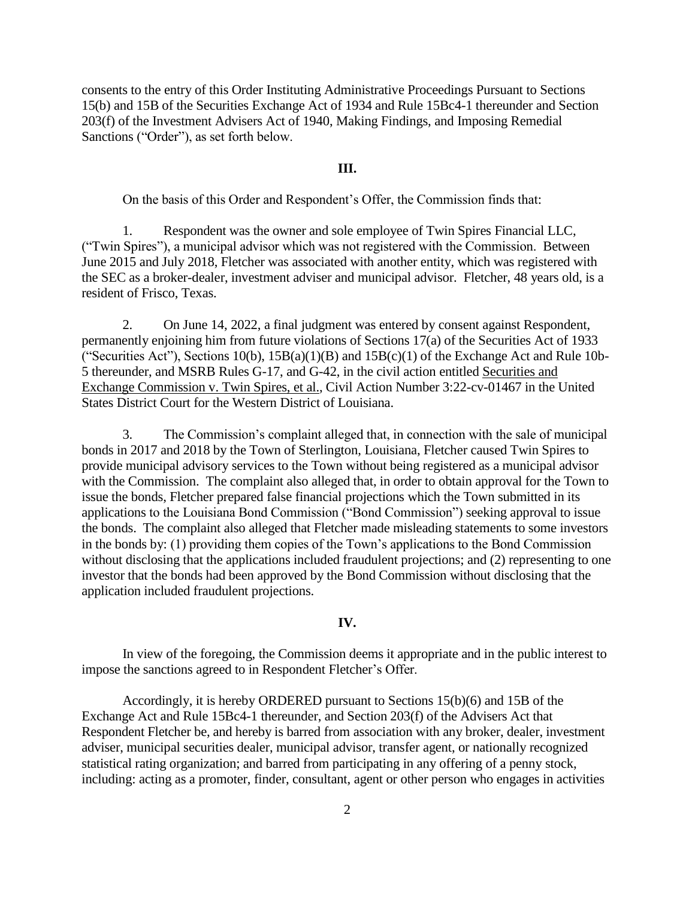consents to the entry of this Order Instituting Administrative Proceedings Pursuant to Sections 15(b) and 15B of the Securities Exchange Act of 1934 and Rule 15Bc4-1 thereunder and Section 203(f) of the Investment Advisers Act of 1940, Making Findings, and Imposing Remedial Sanctions ("Order"), as set forth below.

### **III.**

On the basis of this Order and Respondent's Offer, the Commission finds that:

1. Respondent was the owner and sole employee of Twin Spires Financial LLC, ("Twin Spires"), a municipal advisor which was not registered with the Commission. Between June 2015 and July 2018, Fletcher was associated with another entity, which was registered with the SEC as a broker-dealer, investment adviser and municipal advisor. Fletcher, 48 years old, is a resident of Frisco, Texas.

2. On June 14, 2022, a final judgment was entered by consent against Respondent, permanently enjoining him from future violations of Sections 17(a) of the Securities Act of 1933 ("Securities Act"), Sections  $10(b)$ ,  $15B(a)(1)(B)$  and  $15B(c)(1)$  of the Exchange Act and Rule 10b-5 thereunder, and MSRB Rules G-17, and G-42, in the civil action entitled Securities and Exchange Commission v. Twin Spires, et al., Civil Action Number 3:22-cv-01467 in the United States District Court for the Western District of Louisiana.

3. The Commission's complaint alleged that, in connection with the sale of municipal bonds in 2017 and 2018 by the Town of Sterlington, Louisiana, Fletcher caused Twin Spires to provide municipal advisory services to the Town without being registered as a municipal advisor with the Commission. The complaint also alleged that, in order to obtain approval for the Town to issue the bonds, Fletcher prepared false financial projections which the Town submitted in its applications to the Louisiana Bond Commission ("Bond Commission") seeking approval to issue the bonds. The complaint also alleged that Fletcher made misleading statements to some investors in the bonds by: (1) providing them copies of the Town's applications to the Bond Commission without disclosing that the applications included fraudulent projections; and (2) representing to one investor that the bonds had been approved by the Bond Commission without disclosing that the application included fraudulent projections.

#### **IV.**

In view of the foregoing, the Commission deems it appropriate and in the public interest to impose the sanctions agreed to in Respondent Fletcher's Offer.

Accordingly, it is hereby ORDERED pursuant to Sections 15(b)(6) and 15B of the Exchange Act and Rule 15Bc4-1 thereunder, and Section 203(f) of the Advisers Act that Respondent Fletcher be, and hereby is barred from association with any broker, dealer, investment adviser, municipal securities dealer, municipal advisor, transfer agent, or nationally recognized statistical rating organization; and barred from participating in any offering of a penny stock, including: acting as a promoter, finder, consultant, agent or other person who engages in activities